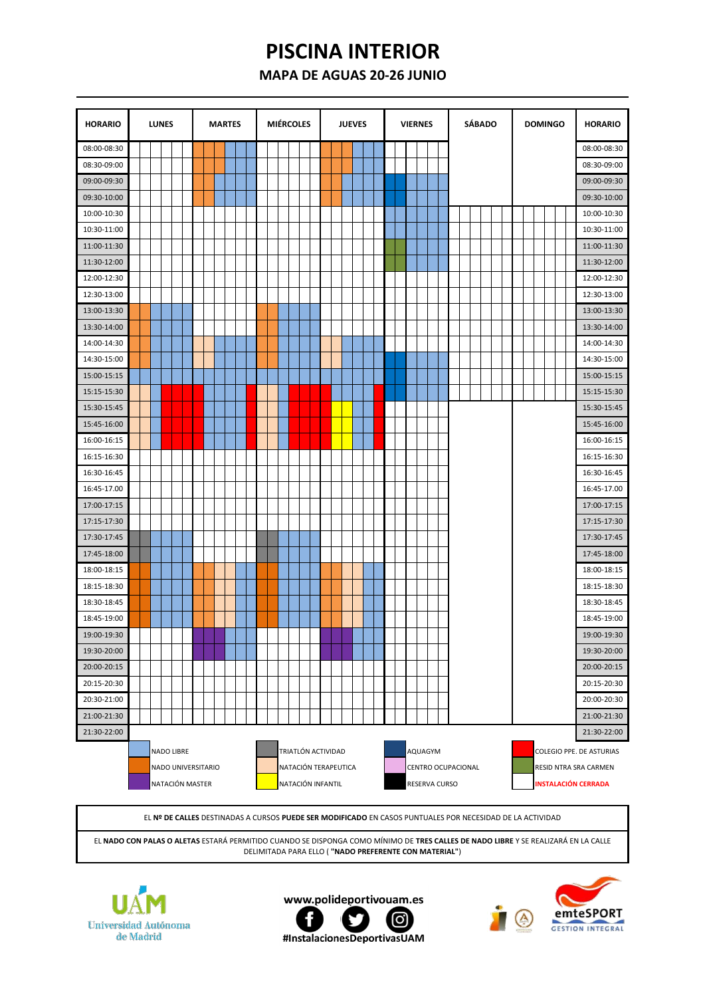## **PISCINA INTERIOR**

## **MAPA DE AGUAS 20-26 JUNIO**

| <b>HORARIO</b> | <b>LUNES</b><br><b>MARTES</b> |  |            |  |  |  |  |                                       | <b>MIÉRCOLES</b> |  |  |  |  |  |  | <b>JUEVES</b>                           |  |                      |  |  |  | <b>VIERNES</b> |  | <b>SÁBADO</b> | <b>DOMINGO</b>           |                    |  |  |  | <b>HORARIO</b> |  |                                                                                 |
|----------------|-------------------------------|--|------------|--|--|--|--|---------------------------------------|------------------|--|--|--|--|--|--|-----------------------------------------|--|----------------------|--|--|--|----------------|--|---------------|--------------------------|--------------------|--|--|--|----------------|--|---------------------------------------------------------------------------------|
| 08:00-08:30    |                               |  |            |  |  |  |  |                                       |                  |  |  |  |  |  |  |                                         |  |                      |  |  |  |                |  |               |                          |                    |  |  |  |                |  | 08:00-08:30                                                                     |
| 08:30-09:00    |                               |  |            |  |  |  |  |                                       |                  |  |  |  |  |  |  |                                         |  |                      |  |  |  |                |  |               |                          |                    |  |  |  |                |  | 08:30-09:00                                                                     |
| 09:00-09:30    |                               |  |            |  |  |  |  |                                       |                  |  |  |  |  |  |  |                                         |  |                      |  |  |  |                |  |               |                          |                    |  |  |  |                |  | 09:00-09:30                                                                     |
| 09:30-10:00    |                               |  |            |  |  |  |  |                                       |                  |  |  |  |  |  |  |                                         |  |                      |  |  |  |                |  |               |                          |                    |  |  |  |                |  | 09:30-10:00                                                                     |
| 10:00-10:30    |                               |  |            |  |  |  |  |                                       |                  |  |  |  |  |  |  |                                         |  |                      |  |  |  |                |  |               |                          |                    |  |  |  |                |  | 10:00-10:30                                                                     |
| 10:30-11:00    |                               |  |            |  |  |  |  |                                       |                  |  |  |  |  |  |  |                                         |  |                      |  |  |  |                |  |               |                          |                    |  |  |  |                |  | 10:30-11:00                                                                     |
| 11:00-11:30    |                               |  |            |  |  |  |  |                                       |                  |  |  |  |  |  |  |                                         |  |                      |  |  |  |                |  |               |                          |                    |  |  |  |                |  | 11:00-11:30                                                                     |
| 11:30-12:00    |                               |  |            |  |  |  |  |                                       |                  |  |  |  |  |  |  |                                         |  |                      |  |  |  |                |  |               |                          |                    |  |  |  |                |  | 11:30-12:00                                                                     |
| 12:00-12:30    |                               |  |            |  |  |  |  |                                       |                  |  |  |  |  |  |  |                                         |  |                      |  |  |  |                |  |               |                          |                    |  |  |  |                |  | 12:00-12:30                                                                     |
| 12:30-13:00    |                               |  |            |  |  |  |  |                                       |                  |  |  |  |  |  |  |                                         |  |                      |  |  |  |                |  |               |                          |                    |  |  |  |                |  | 12:30-13:00                                                                     |
| 13:00-13:30    |                               |  |            |  |  |  |  |                                       |                  |  |  |  |  |  |  |                                         |  |                      |  |  |  |                |  |               |                          |                    |  |  |  |                |  | 13:00-13:30                                                                     |
| 13:30-14:00    |                               |  |            |  |  |  |  |                                       |                  |  |  |  |  |  |  |                                         |  |                      |  |  |  |                |  |               |                          |                    |  |  |  |                |  | 13:30-14:00                                                                     |
| 14:00-14:30    |                               |  |            |  |  |  |  |                                       |                  |  |  |  |  |  |  |                                         |  |                      |  |  |  |                |  |               |                          |                    |  |  |  |                |  | 14:00-14:30                                                                     |
| 14:30-15:00    |                               |  |            |  |  |  |  |                                       |                  |  |  |  |  |  |  |                                         |  |                      |  |  |  |                |  |               |                          |                    |  |  |  |                |  | 14:30-15:00                                                                     |
| 15:00-15:15    |                               |  |            |  |  |  |  |                                       |                  |  |  |  |  |  |  |                                         |  |                      |  |  |  |                |  |               |                          |                    |  |  |  |                |  | 15:00-15:15                                                                     |
| 15:15-15:30    |                               |  |            |  |  |  |  |                                       |                  |  |  |  |  |  |  |                                         |  |                      |  |  |  |                |  |               |                          |                    |  |  |  |                |  | 15:15-15:30                                                                     |
| 15:30-15:45    |                               |  |            |  |  |  |  |                                       |                  |  |  |  |  |  |  |                                         |  |                      |  |  |  |                |  |               |                          |                    |  |  |  |                |  | 15:30-15:45                                                                     |
| 15:45-16:00    |                               |  |            |  |  |  |  |                                       |                  |  |  |  |  |  |  |                                         |  |                      |  |  |  |                |  |               |                          |                    |  |  |  |                |  | 15:45-16:00                                                                     |
| 16:00-16:15    |                               |  |            |  |  |  |  |                                       |                  |  |  |  |  |  |  |                                         |  |                      |  |  |  |                |  |               |                          |                    |  |  |  |                |  | 16:00-16:15                                                                     |
| 16:15-16:30    |                               |  |            |  |  |  |  |                                       |                  |  |  |  |  |  |  |                                         |  |                      |  |  |  |                |  |               |                          |                    |  |  |  |                |  | 16:15-16:30                                                                     |
| 16:30-16:45    |                               |  |            |  |  |  |  |                                       |                  |  |  |  |  |  |  |                                         |  |                      |  |  |  |                |  |               |                          |                    |  |  |  |                |  | 16:30-16:45                                                                     |
| 16:45-17.00    |                               |  |            |  |  |  |  |                                       |                  |  |  |  |  |  |  |                                         |  |                      |  |  |  |                |  |               |                          |                    |  |  |  |                |  | 16:45-17.00                                                                     |
| 17:00-17:15    |                               |  |            |  |  |  |  |                                       |                  |  |  |  |  |  |  |                                         |  |                      |  |  |  |                |  |               |                          |                    |  |  |  |                |  | 17:00-17:15                                                                     |
| 17:15-17:30    |                               |  |            |  |  |  |  |                                       |                  |  |  |  |  |  |  |                                         |  |                      |  |  |  |                |  |               |                          |                    |  |  |  |                |  | 17:15-17:30                                                                     |
| 17:30-17:45    |                               |  |            |  |  |  |  |                                       |                  |  |  |  |  |  |  |                                         |  |                      |  |  |  |                |  |               |                          |                    |  |  |  |                |  | 17:30-17:45                                                                     |
| 17:45-18:00    |                               |  |            |  |  |  |  |                                       |                  |  |  |  |  |  |  |                                         |  |                      |  |  |  |                |  |               |                          |                    |  |  |  |                |  | 17:45-18:00                                                                     |
| 18:00-18:15    |                               |  |            |  |  |  |  |                                       |                  |  |  |  |  |  |  |                                         |  |                      |  |  |  |                |  |               |                          |                    |  |  |  |                |  | 18:00-18:15                                                                     |
| 18:15-18:30    |                               |  |            |  |  |  |  |                                       |                  |  |  |  |  |  |  |                                         |  |                      |  |  |  |                |  |               |                          |                    |  |  |  |                |  | 18:15-18:30                                                                     |
| 18:30-18:45    |                               |  |            |  |  |  |  |                                       |                  |  |  |  |  |  |  |                                         |  |                      |  |  |  |                |  |               |                          |                    |  |  |  |                |  | 18:30-18:45                                                                     |
| 18:45-19:00    |                               |  |            |  |  |  |  |                                       |                  |  |  |  |  |  |  |                                         |  |                      |  |  |  |                |  |               |                          |                    |  |  |  |                |  | 18:45-19:00                                                                     |
| 19:00-19:30    |                               |  |            |  |  |  |  |                                       |                  |  |  |  |  |  |  |                                         |  |                      |  |  |  |                |  |               |                          |                    |  |  |  |                |  | 19:00-19:30                                                                     |
| 19:30-20:00    |                               |  |            |  |  |  |  |                                       |                  |  |  |  |  |  |  |                                         |  |                      |  |  |  |                |  |               |                          |                    |  |  |  |                |  | 19:30-20:00                                                                     |
| 20:00-20:15    |                               |  |            |  |  |  |  |                                       |                  |  |  |  |  |  |  |                                         |  |                      |  |  |  |                |  |               |                          |                    |  |  |  |                |  | 20:00-20:15                                                                     |
| 20:15-20:30    |                               |  |            |  |  |  |  |                                       |                  |  |  |  |  |  |  |                                         |  |                      |  |  |  |                |  |               |                          |                    |  |  |  |                |  | 20:15-20:30                                                                     |
| 20:30-21:00    |                               |  |            |  |  |  |  |                                       |                  |  |  |  |  |  |  |                                         |  |                      |  |  |  |                |  |               |                          |                    |  |  |  |                |  | 20:00-20:30                                                                     |
| 21:00-21:30    |                               |  |            |  |  |  |  |                                       |                  |  |  |  |  |  |  |                                         |  |                      |  |  |  |                |  |               |                          |                    |  |  |  |                |  | 21:00-21:30                                                                     |
| 21:30-22:00    |                               |  |            |  |  |  |  |                                       |                  |  |  |  |  |  |  |                                         |  |                      |  |  |  |                |  |               |                          |                    |  |  |  |                |  | 21:30-22:00                                                                     |
|                |                               |  | NADO LIBRE |  |  |  |  | NADO UNIVERSITARIO<br>NATACIÓN MASTER |                  |  |  |  |  |  |  | TRIATLÓN ACTIVIDAD<br>NATACIÓN INFANTIL |  | NATACIÓN TERAPEUTICA |  |  |  |                |  |               | AQUAGYM<br>RESERVA CURSO | CENTRO OCUPACIONAL |  |  |  |                |  | COLEGIO PPE. DE ASTURIAS<br>RESID NTRA SRA CARMEN<br><b>INSTALACIÓN CERRADA</b> |

EL **Nº DE CALLES** DESTINADAS A CURSOS **PUEDE SER MODIFICADO** EN CASOS PUNTUALES POR NECESIDAD DE LA ACTIVIDAD

EL **NADO CON PALAS O ALETAS** ESTARÁ PERMITIDO CUANDO SE DISPONGA COMO MÍNIMO DE **TRES CALLES DE NADO LIBRE** Y SE REALIZARÁ EN LA CALLE DELIMITADA PARA ELLO ( **"NADO PREFERENTE CON MATERIAL"**)







#InstalacionesDeportivasUAM